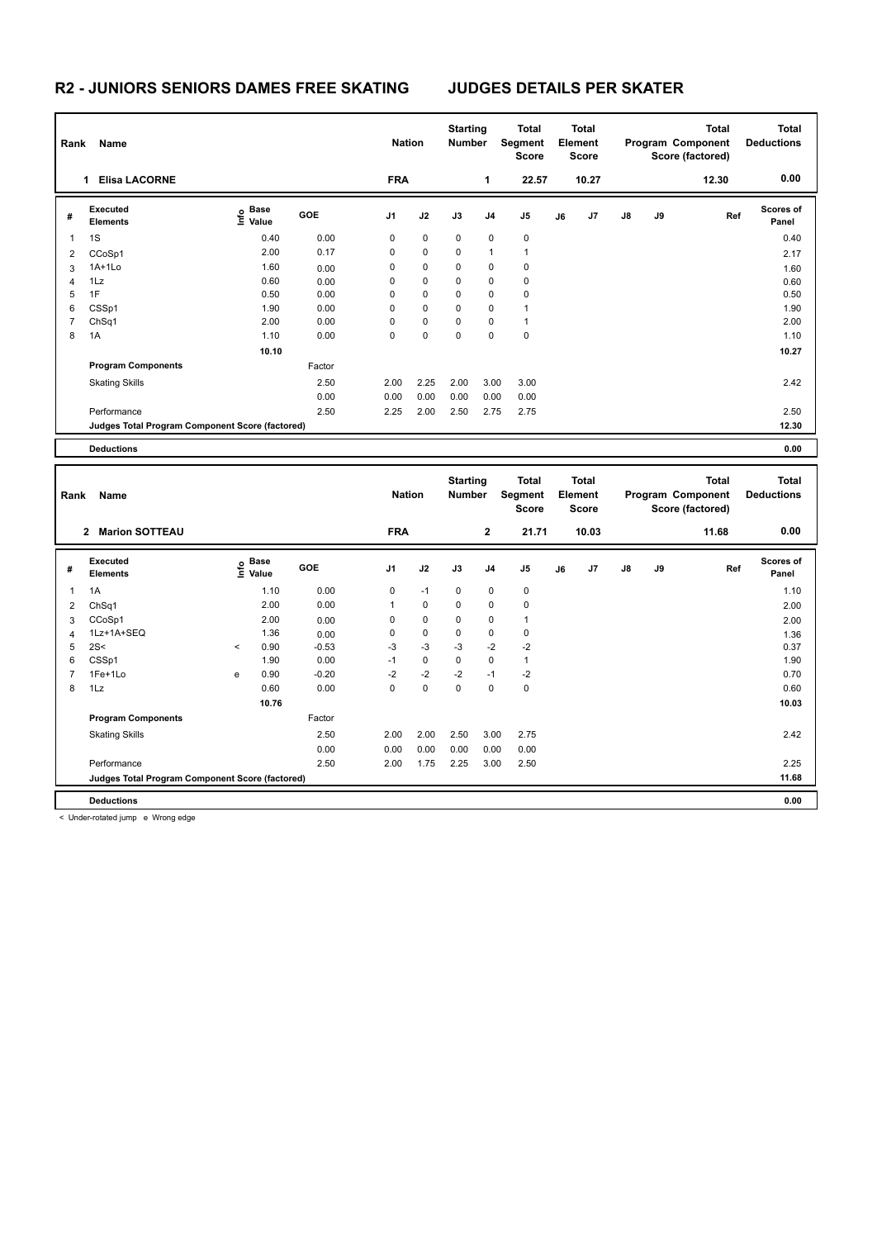# **R2 - JUNIORS SENIORS DAMES FREE SKATING JUDGES DETAILS PER SKATER**

|   | Name<br>Rank                                    |                                  |        |             | <b>Nation</b> |             | <b>Starting</b><br><b>Number</b> | Total<br>Segment<br><b>Score</b> | <b>Total</b><br>Element<br><b>Score</b> |       |               |    | <b>Total</b><br>Program Component<br>Score (factored) | <b>Total</b><br><b>Deductions</b> |
|---|-------------------------------------------------|----------------------------------|--------|-------------|---------------|-------------|----------------------------------|----------------------------------|-----------------------------------------|-------|---------------|----|-------------------------------------------------------|-----------------------------------|
|   | <b>Elisa LACORNE</b><br>1                       |                                  |        | <b>FRA</b>  |               |             | 1                                | 22.57                            |                                         | 10.27 |               |    | 12.30                                                 | 0.00                              |
| # | <b>Executed</b><br><b>Elements</b>              | <b>Base</b><br>e Base<br>⊑ Value | GOE    | J1          | J2            | J3          | J <sub>4</sub>                   | J <sub>5</sub>                   | J6                                      | J7    | $\mathsf{J}8$ | J9 | Ref                                                   | <b>Scores of</b><br>Panel         |
| 1 | 1S                                              | 0.40                             | 0.00   | $\mathbf 0$ | $\mathbf 0$   | $\mathbf 0$ | 0                                | $\mathbf 0$                      |                                         |       |               |    |                                                       | 0.40                              |
| 2 | CCoSp1                                          | 2.00                             | 0.17   | 0           | 0             | 0           | 1                                | 1                                |                                         |       |               |    |                                                       | 2.17                              |
| 3 | $1A+1Lo$                                        | 1.60                             | 0.00   | 0           | $\mathbf 0$   | $\mathbf 0$ | 0                                | $\mathbf 0$                      |                                         |       |               |    |                                                       | 1.60                              |
| 4 | 1Lz                                             | 0.60                             | 0.00   | 0           | $\mathbf 0$   | $\mathbf 0$ | 0                                | $\pmb{0}$                        |                                         |       |               |    |                                                       | 0.60                              |
| 5 | 1F                                              | 0.50                             | 0.00   | 0           | 0             | $\mathbf 0$ | 0                                | 0                                |                                         |       |               |    |                                                       | 0.50                              |
| 6 | CSSp1                                           | 1.90                             | 0.00   | 0           | 0             | $\mathbf 0$ | 0                                | 1                                |                                         |       |               |    |                                                       | 1.90                              |
| 7 | ChSq1                                           | 2.00                             | 0.00   | 0           | $\pmb{0}$     | 0           | 0                                | 1                                |                                         |       |               |    |                                                       | 2.00                              |
| 8 | 1A                                              | 1.10                             | 0.00   | 0           | $\mathbf 0$   | $\Omega$    | $\Omega$                         | $\mathbf 0$                      |                                         |       |               |    |                                                       | 1.10                              |
|   |                                                 | 10.10                            |        |             |               |             |                                  |                                  |                                         |       |               |    |                                                       | 10.27                             |
|   | <b>Program Components</b>                       |                                  | Factor |             |               |             |                                  |                                  |                                         |       |               |    |                                                       |                                   |
|   | <b>Skating Skills</b>                           |                                  | 2.50   | 2.00        | 2.25          | 2.00        | 3.00                             | 3.00                             |                                         |       |               |    |                                                       | 2.42                              |
|   |                                                 |                                  | 0.00   | 0.00        | 0.00          | 0.00        | 0.00                             | 0.00                             |                                         |       |               |    |                                                       |                                   |
|   | Performance                                     |                                  | 2.50   | 2.25        | 2.00          | 2.50        | 2.75                             | 2.75                             |                                         |       |               |    |                                                       | 2.50                              |
|   | Judges Total Program Component Score (factored) |                                  |        |             |               |             |                                  |                                  |                                         |       |               |    |                                                       | 12.30                             |
|   | <b>Deductions</b>                               |                                  |        |             |               |             |                                  |                                  |                                         |       |               |    |                                                       | 0.00                              |

| Name<br>Rank                          |                                                 |         |                   |            |                | <b>Nation</b> |              | <b>Starting</b><br><b>Number</b> | <b>Total</b><br>Segment<br><b>Score</b> | <b>Total</b><br>Element<br><b>Score</b> |    |    |       | <b>Total</b><br>Program Component<br>Score (factored) | Total<br><b>Deductions</b> |
|---------------------------------------|-------------------------------------------------|---------|-------------------|------------|----------------|---------------|--------------|----------------------------------|-----------------------------------------|-----------------------------------------|----|----|-------|-------------------------------------------------------|----------------------------|
| <b>Marion SOTTEAU</b><br>$\mathbf{2}$ |                                                 |         |                   | <b>FRA</b> |                |               | $\mathbf{2}$ | 21.71                            |                                         | 10.03                                   |    |    | 11.68 | 0.00                                                  |                            |
| #                                     | Executed<br><b>Elements</b>                     |         | e Base<br>E Value | GOE        | J <sub>1</sub> | J2            | J3           | J <sub>4</sub>                   | J <sub>5</sub>                          | J6                                      | J7 | J8 | J9    | Ref                                                   | <b>Scores of</b><br>Panel  |
|                                       | 1A                                              |         | 1.10              | 0.00       | 0              | $-1$          | 0            | 0                                | 0                                       |                                         |    |    |       |                                                       | 1.10                       |
| 2                                     | ChSq1                                           |         | 2.00              | 0.00       | 1              | $\mathbf 0$   | 0            | $\mathbf 0$                      | $\mathbf 0$                             |                                         |    |    |       |                                                       | 2.00                       |
| 3                                     | CCoSp1                                          |         | 2.00              | 0.00       | $\Omega$       | 0             | 0            | 0                                | $\mathbf{1}$                            |                                         |    |    |       |                                                       | 2.00                       |
| $\overline{4}$                        | 1Lz+1A+SEQ                                      |         | 1.36              | 0.00       | 0              | 0             | 0            | 0                                | 0                                       |                                         |    |    |       |                                                       | 1.36                       |
| 5                                     | 2S<                                             | $\prec$ | 0.90              | $-0.53$    | $-3$           | $-3$          | $-3$         | $-2$                             | $-2$                                    |                                         |    |    |       |                                                       | 0.37                       |
| 6                                     | CSSp1                                           |         | 1.90              | 0.00       | $-1$           | $\mathbf 0$   | $\Omega$     | $\Omega$                         | $\mathbf{1}$                            |                                         |    |    |       |                                                       | 1.90                       |
| 7                                     | 1Fe+1Lo                                         | e       | 0.90              | $-0.20$    | $-2$           | $-2$          | $-2$         | $-1$                             | $-2$                                    |                                         |    |    |       |                                                       | 0.70                       |
| 8                                     | 1Lz                                             |         | 0.60              | 0.00       | $\Omega$       | 0             | 0            | $\Omega$                         | $\mathbf 0$                             |                                         |    |    |       |                                                       | 0.60                       |
|                                       |                                                 |         | 10.76             |            |                |               |              |                                  |                                         |                                         |    |    |       |                                                       | 10.03                      |
|                                       | <b>Program Components</b>                       |         |                   | Factor     |                |               |              |                                  |                                         |                                         |    |    |       |                                                       |                            |
|                                       | <b>Skating Skills</b>                           |         |                   | 2.50       | 2.00           | 2.00          | 2.50         | 3.00                             | 2.75                                    |                                         |    |    |       |                                                       | 2.42                       |
|                                       |                                                 |         |                   | 0.00       | 0.00           | 0.00          | 0.00         | 0.00                             | 0.00                                    |                                         |    |    |       |                                                       |                            |
|                                       | Performance                                     |         |                   | 2.50       | 2.00           | 1.75          | 2.25         | 3.00                             | 2.50                                    |                                         |    |    |       |                                                       | 2.25                       |
|                                       | Judges Total Program Component Score (factored) |         |                   |            |                |               |              |                                  |                                         |                                         |    |    |       |                                                       | 11.68                      |
|                                       | <b>Deductions</b>                               |         |                   |            |                |               |              |                                  |                                         |                                         |    |    |       |                                                       | 0.00                       |

< Under-rotated jump e Wrong edge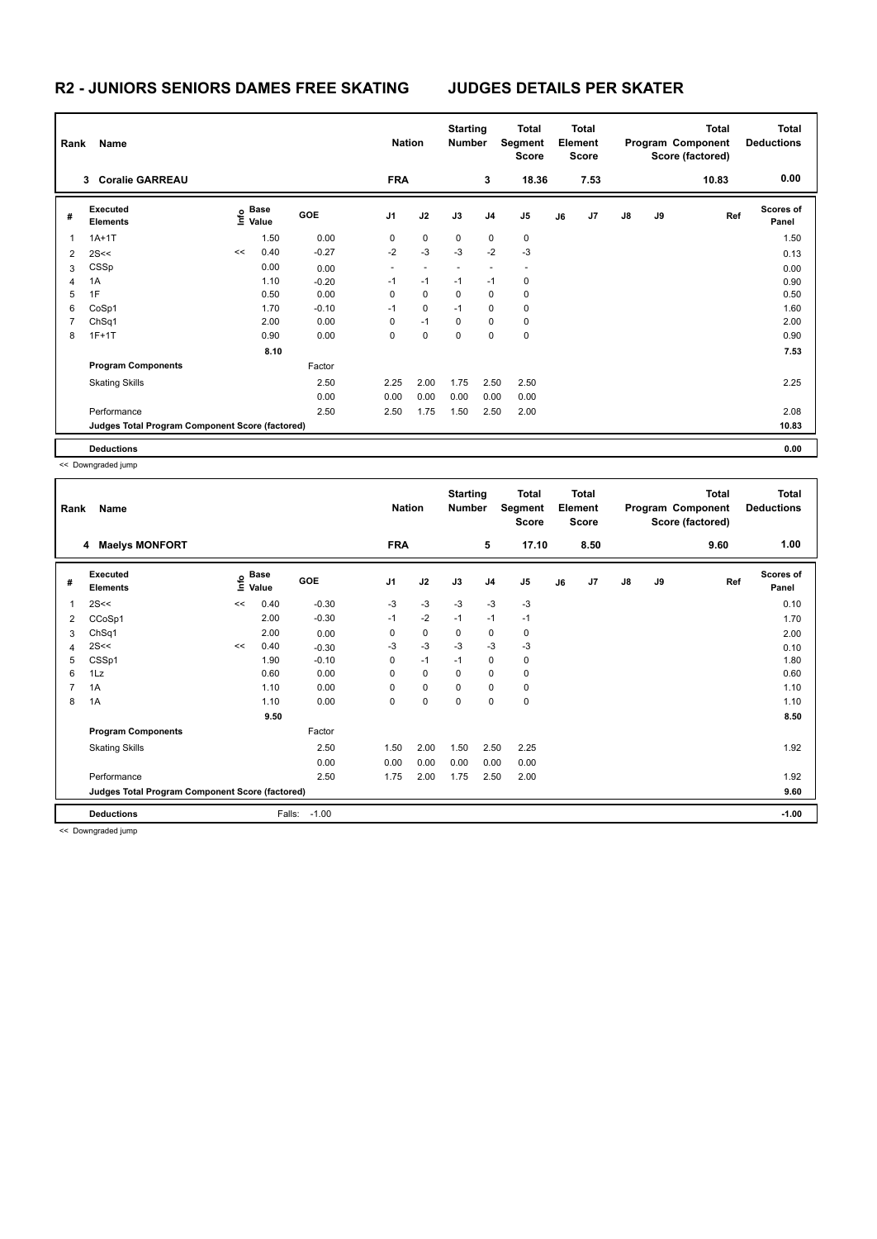### **R2 - JUNIORS SENIORS DAMES FREE SKATING JUDGES DETAILS PER SKATER**

|   | Rank<br>Name                                    |    |                                  |            |                | <b>Nation</b> |             | <b>Starting</b><br><b>Number</b> | <b>Total</b><br>Segment<br><b>Score</b> | <b>Total</b><br>Element<br><b>Score</b> |                |               |    | <b>Total</b><br>Program Component<br>Score (factored) | Total<br><b>Deductions</b> |
|---|-------------------------------------------------|----|----------------------------------|------------|----------------|---------------|-------------|----------------------------------|-----------------------------------------|-----------------------------------------|----------------|---------------|----|-------------------------------------------------------|----------------------------|
|   | <b>Coralie GARREAU</b><br>3                     |    |                                  |            | <b>FRA</b>     |               |             | 3                                | 18.36                                   |                                         | 7.53           |               |    | 10.83                                                 | 0.00                       |
| # | Executed<br><b>Elements</b>                     |    | <b>Base</b><br>e Base<br>⊆ Value | <b>GOE</b> | J <sub>1</sub> | J2            | J3          | J4                               | J <sub>5</sub>                          | J6                                      | J <sub>7</sub> | $\mathsf{J}8$ | J9 | Ref                                                   | <b>Scores of</b><br>Panel  |
| 1 | $1A+1T$                                         |    | 1.50                             | 0.00       | 0              | $\mathbf 0$   | $\mathbf 0$ | 0                                | 0                                       |                                         |                |               |    |                                                       | 1.50                       |
| 2 | 2S<<                                            | << | 0.40                             | $-0.27$    | $-2$           | $-3$          | $-3$        | $-2$                             | $-3$                                    |                                         |                |               |    |                                                       | 0.13                       |
| 3 | CSSp                                            |    | 0.00                             | 0.00       |                |               |             |                                  |                                         |                                         |                |               |    |                                                       | 0.00                       |
| 4 | 1A                                              |    | 1.10                             | $-0.20$    | $-1$           | $-1$          | $-1$        | $-1$                             | 0                                       |                                         |                |               |    |                                                       | 0.90                       |
| 5 | 1F                                              |    | 0.50                             | 0.00       | 0              | 0             | $\Omega$    | 0                                | $\mathbf 0$                             |                                         |                |               |    |                                                       | 0.50                       |
| 6 | CoSp1                                           |    | 1.70                             | $-0.10$    | $-1$           | $\mathbf 0$   | $-1$        | 0                                | $\mathbf 0$                             |                                         |                |               |    |                                                       | 1.60                       |
| 7 | ChSq1                                           |    | 2.00                             | 0.00       | 0              | $-1$          | $\mathbf 0$ | 0                                | $\pmb{0}$                               |                                         |                |               |    |                                                       | 2.00                       |
| 8 | $1F+1T$                                         |    | 0.90                             | 0.00       | 0              | $\mathbf 0$   | 0           | 0                                | $\pmb{0}$                               |                                         |                |               |    |                                                       | 0.90                       |
|   |                                                 |    | 8.10                             |            |                |               |             |                                  |                                         |                                         |                |               |    |                                                       | 7.53                       |
|   | <b>Program Components</b>                       |    |                                  | Factor     |                |               |             |                                  |                                         |                                         |                |               |    |                                                       |                            |
|   | <b>Skating Skills</b>                           |    |                                  | 2.50       | 2.25           | 2.00          | 1.75        | 2.50                             | 2.50                                    |                                         |                |               |    |                                                       | 2.25                       |
|   |                                                 |    |                                  | 0.00       | 0.00           | 0.00          | 0.00        | 0.00                             | 0.00                                    |                                         |                |               |    |                                                       |                            |
|   | Performance                                     |    |                                  | 2.50       | 2.50           | 1.75          | 1.50        | 2.50                             | 2.00                                    |                                         |                |               |    |                                                       | 2.08                       |
|   | Judges Total Program Component Score (factored) |    |                                  |            |                |               |             |                                  |                                         |                                         |                |               |    |                                                       | 10.83                      |
|   | <b>Deductions</b>                               |    |                                  |            |                |               |             |                                  |                                         |                                         |                |               |    |                                                       | 0.00                       |

<< Downgraded jump

| Name<br>Rank   |                                                 |    |                   |         |                | <b>Nation</b> |          | <b>Starting</b><br>Number | <b>Total</b><br>Segment<br><b>Score</b> | <b>Total</b><br>Element<br>Score |      |               |    | <b>Total</b><br>Program Component<br>Score (factored) | <b>Total</b><br><b>Deductions</b> |
|----------------|-------------------------------------------------|----|-------------------|---------|----------------|---------------|----------|---------------------------|-----------------------------------------|----------------------------------|------|---------------|----|-------------------------------------------------------|-----------------------------------|
|                | <b>Maelys MONFORT</b><br>4                      |    |                   |         | <b>FRA</b>     |               |          | 5                         | 17.10                                   |                                  | 8.50 |               |    | 9.60                                                  | 1.00                              |
| #              | <b>Executed</b><br><b>Elements</b>              |    | e Base<br>⊆ Value | GOE     | J <sub>1</sub> | J2            | J3       | J <sub>4</sub>            | J <sub>5</sub>                          | J6                               | J7   | $\mathsf{J}8$ | J9 | Ref                                                   | <b>Scores of</b><br>Panel         |
| 1              | 2S<<                                            | << | 0.40              | $-0.30$ | $-3$           | $-3$          | $-3$     | $-3$                      | $-3$                                    |                                  |      |               |    |                                                       | 0.10                              |
| 2              | CCoSp1                                          |    | 2.00              | $-0.30$ | $-1$           | $-2$          | $-1$     | $-1$                      | $-1$                                    |                                  |      |               |    |                                                       | 1.70                              |
| 3              | ChSq1                                           |    | 2.00              | 0.00    | 0              | 0             | 0        | 0                         | 0                                       |                                  |      |               |    |                                                       | 2.00                              |
| 4              | 2S<<                                            | << | 0.40              | $-0.30$ | $-3$           | $-3$          | $-3$     | -3                        | $-3$                                    |                                  |      |               |    |                                                       | 0.10                              |
| 5              | CSSp1                                           |    | 1.90              | $-0.10$ | 0              | $-1$          | $-1$     | 0                         | 0                                       |                                  |      |               |    |                                                       | 1.80                              |
| 6              | 1Lz                                             |    | 0.60              | 0.00    | $\Omega$       | 0             | $\Omega$ | 0                         | 0                                       |                                  |      |               |    |                                                       | 0.60                              |
| $\overline{7}$ | 1A                                              |    | 1.10              | 0.00    | 0              | 0             | $\Omega$ | 0                         | 0                                       |                                  |      |               |    |                                                       | 1.10                              |
| 8              | 1A                                              |    | 1.10              | 0.00    | 0              | 0             | 0        | $\mathbf 0$               | 0                                       |                                  |      |               |    |                                                       | 1.10                              |
|                |                                                 |    | 9.50              |         |                |               |          |                           |                                         |                                  |      |               |    |                                                       | 8.50                              |
|                | <b>Program Components</b>                       |    |                   | Factor  |                |               |          |                           |                                         |                                  |      |               |    |                                                       |                                   |
|                | <b>Skating Skills</b>                           |    |                   | 2.50    | 1.50           | 2.00          | 1.50     | 2.50                      | 2.25                                    |                                  |      |               |    |                                                       | 1.92                              |
|                |                                                 |    |                   | 0.00    | 0.00           | 0.00          | 0.00     | 0.00                      | 0.00                                    |                                  |      |               |    |                                                       |                                   |
|                | Performance                                     |    |                   | 2.50    | 1.75           | 2.00          | 1.75     | 2.50                      | 2.00                                    |                                  |      |               |    |                                                       | 1.92                              |
|                | Judges Total Program Component Score (factored) |    |                   |         |                |               |          |                           |                                         |                                  |      |               |    |                                                       | 9.60                              |
|                | <b>Deductions</b>                               |    | Falls:            | $-1.00$ |                |               |          |                           |                                         |                                  |      |               |    |                                                       | $-1.00$                           |

<< Downgraded jump